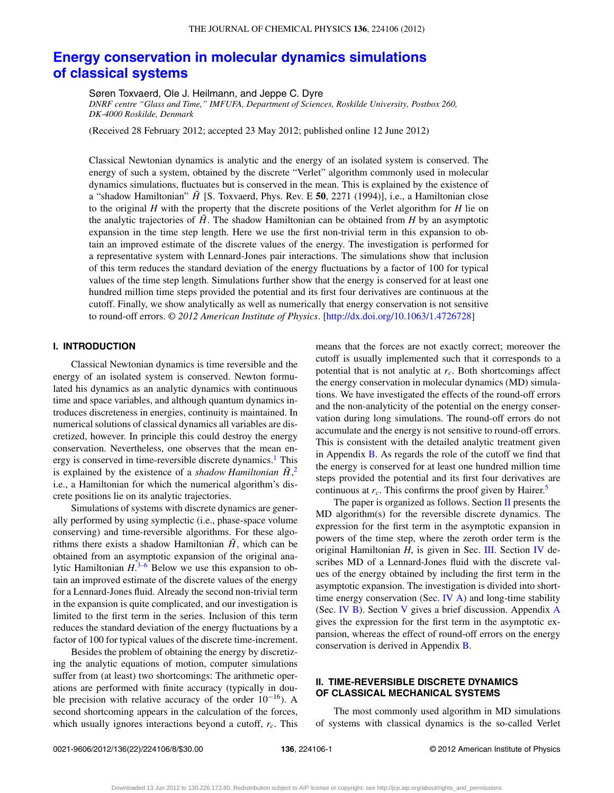# **[Energy conservation in molecular dynamics simulations](http://dx.doi.org/10.1063/1.4726728) [of classical systems](http://dx.doi.org/10.1063/1.4726728)**

Søren Toxvaerd, Ole J. Heilmann, and Jeppe C. Dyre

*DNRF centre "Glass and Time," IMFUFA, Department of Sciences, Roskilde University, Postbox 260, DK-4000 Roskilde, Denmark*

(Received 28 February 2012; accepted 23 May 2012; published online 12 June 2012)

Classical Newtonian dynamics is analytic and the energy of an isolated system is conserved. The energy of such a system, obtained by the discrete "Verlet" algorithm commonly used in molecular dynamics simulations, fluctuates but is conserved in the mean. This is explained by the existence of a "shadow Hamiltonian" *H*˜ [S. Toxvaerd, Phys. Rev. E **50**, 2271 (1994)], i.e., a Hamiltonian close to the original *H* with the property that the discrete positions of the Verlet algorithm for *H* lie on the analytic trajectories of  $\hat{H}$ . The shadow Hamiltonian can be obtained from *H* by an asymptotic expansion in the time step length. Here we use the first non-trivial term in this expansion to obtain an improved estimate of the discrete values of the energy. The investigation is performed for a representative system with Lennard-Jones pair interactions. The simulations show that inclusion of this term reduces the standard deviation of the energy fluctuations by a factor of 100 for typical values of the time step length. Simulations further show that the energy is conserved for at least one hundred million time steps provided the potential and its first four derivatives are continuous at the cutoff. Finally, we show analytically as well as numerically that energy conservation is not sensitive to round-off errors. *© 2012 American Institute of Physics*. [\[http://dx.doi.org/10.1063/1.4726728\]](http://dx.doi.org/10.1063/1.4726728)

## **I. INTRODUCTION**

Classical Newtonian dynamics is time reversible and the energy of an isolated system is conserved. Newton formulated his dynamics as an analytic dynamics with continuous time and space variables, and although quantum dynamics introduces discreteness in energies, continuity is maintained. In numerical solutions of classical dynamics all variables are discretized, however. In principle this could destroy the energy conservation. Nevertheless, one observes that the mean energy is conserved in time-reversible discrete dynamics.<sup>1</sup> This is explained by the existence of a *shadow Hamiltonian*  $\tilde{H}$ <sup>[2](#page-7-1)</sup>, i.e., a Hamiltonian for which the numerical algorithm's discrete positions lie on its analytic trajectories.

Simulations of systems with discrete dynamics are generally performed by using symplectic (i.e., phase-space volume conserving) and time-reversible algorithms. For these algorithms there exists a shadow Hamiltonian  $\tilde{H}$ , which can be obtained from an asymptotic expansion of the original analytic Hamiltonian *H*. [3–](#page-7-2)[6](#page-7-3) Below we use this expansion to obtain an improved estimate of the discrete values of the energy for a Lennard-Jones fluid. Already the second non-trivial term in the expansion is quite complicated, and our investigation is limited to the first term in the series. Inclusion of this term reduces the standard deviation of the energy fluctuations by a factor of 100 for typical values of the discrete time-increment.

Besides the problem of obtaining the energy by discretizing the analytic equations of motion, computer simulations suffer from (at least) two shortcomings: The arithmetic operations are performed with finite accuracy (typically in double precision with relative accuracy of the order  $10^{-16}$ ). A second shortcoming appears in the calculation of the forces, which usually ignores interactions beyond a cutoff,  $r_c$ . This means that the forces are not exactly correct; moreover the cutoff is usually implemented such that it corresponds to a potential that is not analytic at *rc*. Both shortcomings affect the energy conservation in molecular dynamics (MD) simulations. We have investigated the effects of the round-off errors and the non-analyticity of the potential on the energy conservation during long simulations. The round-off errors do not accumulate and the energy is not sensitive to round-off errors. This is consistent with the detailed analytic treatment given in Appendix  $\overline{B}$ . As regards the role of the cutoff we find that the energy is conserved for at least one hundred million time steps provided the potential and its first four derivatives are continuous at  $r_c$ . This confirms the proof given by Hairer.<sup>[5](#page-7-4)</sup>

The paper is organized as follows. Section [II](#page-0-0) presents the MD algorithm(s) for the reversible discrete dynamics. The expression for the first term in the asymptotic expansion in powers of the time step, where the zeroth order term is the original Hamiltonian *H*, is given in Sec. [III.](#page-1-0) Section [IV](#page-2-0) describes MD of a Lennard-Jones fluid with the discrete values of the energy obtained by including the first term in the asymptotic expansion. The investigation is divided into shorttime energy conservation (Sec. [IV A\)](#page-2-1) and long-time stability (Sec. [IV B\)](#page-4-0). Section [V](#page-5-0) gives a brief discussion. Appendix [A](#page-5-1) gives the expression for the first term in the asymptotic expansion, whereas the effect of round-off errors on the energy conservation is derived in Appendix [B.](#page-6-0)

## <span id="page-0-0"></span>**II. TIME-REVERSIBLE DISCRETE DYNAMICS OF CLASSICAL MECHANICAL SYSTEMS**

The most commonly used algorithm in MD simulations of systems with classical dynamics is the so-called Verlet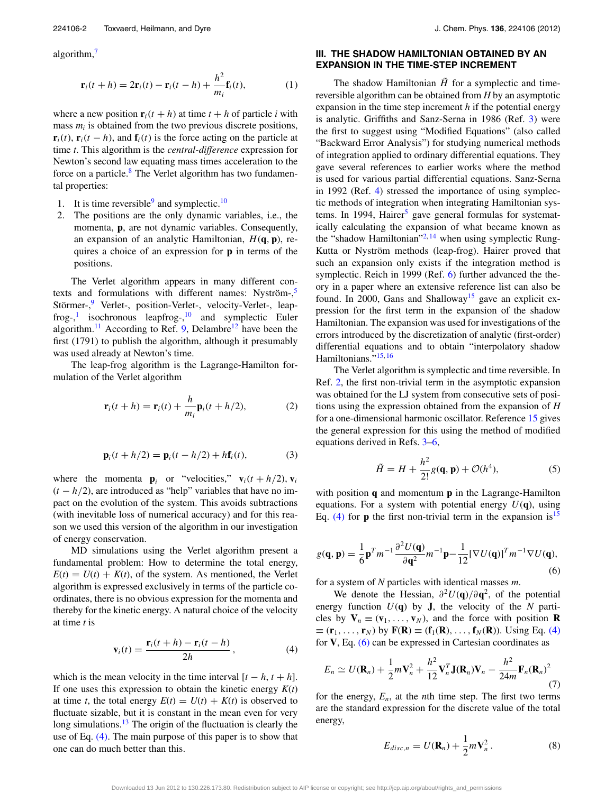algorithm,[7](#page-7-5)

<span id="page-1-5"></span>
$$
\mathbf{r}_i(t+h) = 2\mathbf{r}_i(t) - \mathbf{r}_i(t-h) + \frac{h^2}{m_i}\mathbf{f}_i(t),\tag{1}
$$

where a new position  $\mathbf{r}_i(t+h)$  at time  $t+h$  of particle *i* with mass  $m_i$  is obtained from the two previous discrete positions,  $\mathbf{r}_i(t)$ ,  $\mathbf{r}_i(t-h)$ , and  $\mathbf{f}_i(t)$  is the force acting on the particle at time *t*. This algorithm is the *central-difference* expression for Newton's second law equating mass times acceleration to the force on a particle.<sup>[8](#page-7-6)</sup> The Verlet algorithm has two fundamental properties:

- 1. It is time reversible  $9$  and symplectic.<sup>[10](#page-7-8)</sup>
- 2. The positions are the only dynamic variables, i.e., the momenta, **p**, are not dynamic variables. Consequently, an expansion of an analytic Hamiltonian, *H*(**q***,* **p**), requires a choice of an expression for **p** in terms of the positions.

The Verlet algorithm appears in many different con-texts and formulations with different names: Nyström-,<sup>[5](#page-7-4)</sup> Störmer-,<sup>[9](#page-7-7)</sup> Verlet-, position-Verlet-, velocity-Verlet-, leap-frog-,<sup>[1](#page-7-0)</sup> isochronous leapfrog-,<sup>[10](#page-7-8)</sup> and symplectic Euler algorithm.<sup>[11](#page-7-9)</sup> According to Ref. [9,](#page-7-7) Delambre<sup>12</sup> have been the first (1791) to publish the algorithm, although it presumably was used already at Newton's time.

The leap-frog algorithm is the Lagrange-Hamilton formulation of the Verlet algorithm

$$
\mathbf{r}_i(t+h) = \mathbf{r}_i(t) + \frac{h}{m_i} \mathbf{p}_i(t+h/2),\tag{2}
$$

$$
\mathbf{p}_i(t+h/2) = \mathbf{p}_i(t-h/2) + h\mathbf{f}_i(t),\tag{3}
$$

where the momenta  $\mathbf{p}_i$  or "velocities,"  $\mathbf{v}_i(t+h/2), \mathbf{v}_i$  $(t - h/2)$ , are introduced as "help" variables that have no impact on the evolution of the system. This avoids subtractions (with inevitable loss of numerical accuracy) and for this reason we used this version of the algorithm in our investigation of energy conservation.

MD simulations using the Verlet algorithm present a fundamental problem: How to determine the total energy,  $E(t) = U(t) + K(t)$ , of the system. As mentioned, the Verlet algorithm is expressed exclusively in terms of the particle coordinates, there is no obvious expression for the momenta and thereby for the kinetic energy. A natural choice of the velocity at time *t* is

<span id="page-1-1"></span>
$$
\mathbf{v}_i(t) = \frac{\mathbf{r}_i(t+h) - \mathbf{r}_i(t-h)}{2h},\tag{4}
$$

which is the mean velocity in the time interval  $[t - h, t + h]$ . If one uses this expression to obtain the kinetic energy *K*(*t*) at time *t*, the total energy  $E(t) = U(t) + K(t)$  is observed to fluctuate sizable, but it is constant in the mean even for very long simulations.<sup>[13](#page-7-11)</sup> The origin of the fluctuation is clearly the use of Eq.  $(4)$ . The main purpose of this paper is to show that one can do much better than this.

#### <span id="page-1-0"></span>**III. THE SHADOW HAMILTONIAN OBTAINED BY AN EXPANSION IN THE TIME-STEP INCREMENT**

The shadow Hamiltonian  $\tilde{H}$  for a symplectic and timereversible algorithm can be obtained from *H* by an asymptotic expansion in the time step increment *h* if the potential energy is analytic. Griffiths and Sanz-Serna in 1986 (Ref. [3\)](#page-7-2) were the first to suggest using "Modified Equations" (also called "Backward Error Analysis") for studying numerical methods of integration applied to ordinary differential equations. They gave several references to earlier works where the method is used for various partial differential equations. Sanz-Serna in 1992 (Ref. [4\)](#page-7-12) stressed the importance of using symplectic methods of integration when integrating Hamiltonian sys-tems. In 1994, Hairer<sup>[5](#page-7-4)</sup> gave general formulas for systematically calculating the expansion of what became known as the "shadow Hamiltonian"<sup>[2,](#page-7-1) [14](#page-7-13)</sup> when using symplectic Rung-Kutta or Nyström methods (leap-frog). Hairer proved that such an expansion only exists if the integration method is symplectic. Reich in 1999 (Ref. [6\)](#page-7-3) further advanced the theory in a paper where an extensive reference list can also be found. In 2000, Gans and Shalloway<sup>15</sup> gave an explicit expression for the first term in the expansion of the shadow Hamiltonian. The expansion was used for investigations of the errors introduced by the discretization of analytic (first-order) differential equations and to obtain "interpolatory shadow Hamiltonians.["15,](#page-7-14) [16](#page-7-15)

The Verlet algorithm is symplectic and time reversible. In Ref. [2,](#page-7-1) the first non-trivial term in the asymptotic expansion was obtained for the LJ system from consecutive sets of positions using the expression obtained from the expansion of *H* for a one-dimensional harmonic oscillator. Reference [15](#page-7-14) gives the general expression for this using the method of modified equations derived in Refs. [3](#page-7-2)[–6,](#page-7-3)

$$
\tilde{H} = H + \frac{h^2}{2!} g(\mathbf{q}, \mathbf{p}) + \mathcal{O}(h^4),
$$
 (5)

with position **q** and momentum **p** in the Lagrange-Hamilton equations. For a system with potential energy  $U(q)$ , using Eq. [\(4\)](#page-1-1) for **p** the first non-trivial term in the expansion is<sup>[15](#page-7-14)</sup>

<span id="page-1-2"></span>
$$
g(\mathbf{q}, \mathbf{p}) = \frac{1}{6} \mathbf{p}^T m^{-1} \frac{\partial^2 U(\mathbf{q})}{\partial \mathbf{q}^2} m^{-1} \mathbf{p} - \frac{1}{12} [\nabla U(\mathbf{q})]^T m^{-1} \nabla U(\mathbf{q}),
$$
\n(6)

for a system of *N* particles with identical masses *m*.

We denote the Hessian,  $\partial^2 U(\mathbf{q})/\partial \mathbf{q}^2$ , of the potential energy function  $U(q)$  by **J**, the velocity of the *N* particles by  $V_n \equiv (v_1, \ldots, v_N)$ , and the force with position **R**  $\equiv$  (**r**<sub>1</sub>*,...,* **r**<sub>*N*</sub>) by **F**(**R**) ≡ (**f**<sub>1</sub>(**R**)*,...,***f**<sub>*N*</sub>(**R**)). Using Eq. [\(4\)](#page-1-1) for **V**, Eq. [\(6\)](#page-1-2) can be expressed in Cartesian coordinates as

<span id="page-1-3"></span>
$$
E_n \simeq U(\mathbf{R}_n) + \frac{1}{2}m\mathbf{V}_n^2 + \frac{h^2}{12}\mathbf{V}_n^T\mathbf{J}(\mathbf{R}_n)\mathbf{V}_n - \frac{h^2}{24m}\mathbf{F}_n(\mathbf{R}_n)^2
$$
\n(7)

for the energy,  $E_n$ , at the *n*th time step. The first two terms are the standard expression for the discrete value of the total energy,

<span id="page-1-4"></span>
$$
E_{disc,n} = U(\mathbf{R}_n) + \frac{1}{2}m\mathbf{V}_n^2.
$$
 (8)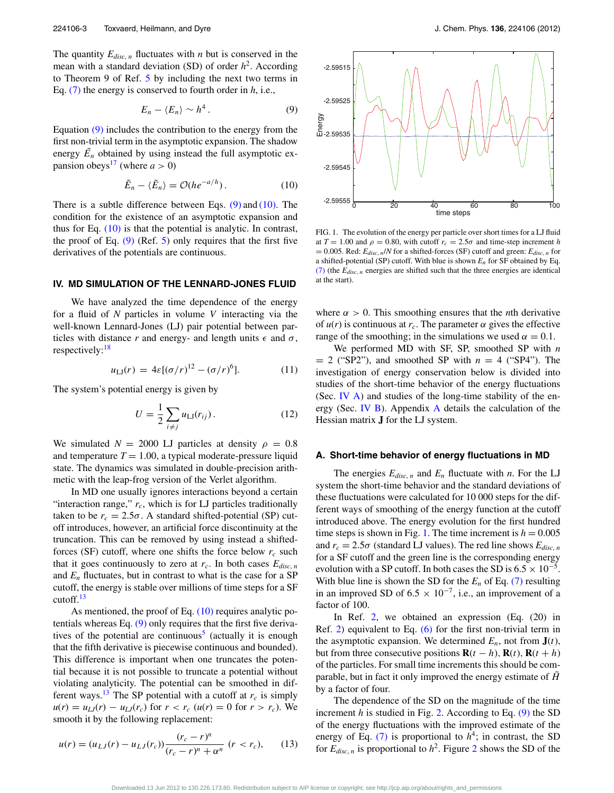The quantity  $E_{disc,n}$  fluctuates with *n* but is conserved in the mean with a standard deviation  $(SD)$  of order  $h^2$ . According to Theorem 9 of Ref. [5](#page-7-4) by including the next two terms in Eq. [\(7\)](#page-1-3) the energy is conserved to fourth order in *h*, i.e.,

<span id="page-2-2"></span>
$$
E_n - \langle E_n \rangle \sim h^4. \tag{9}
$$

Equation [\(9\)](#page-2-2) includes the contribution to the energy from the first non-trivial term in the asymptotic expansion. The shadow energy  $\tilde{E}_n$  obtained by using instead the full asymptotic ex-pansion obeys<sup>[17](#page-7-16)</sup> (where  $a > 0$ )

<span id="page-2-3"></span>
$$
\tilde{E}_n - \langle \tilde{E}_n \rangle = \mathcal{O}(h e^{-a/h}). \tag{10}
$$

There is a subtle difference between Eqs.  $(9)$  and  $(10)$ . The condition for the existence of an asymptotic expansion and thus for Eq.  $(10)$  is that the potential is analytic. In contrast, the proof of Eq.  $(9)$  (Ref. [5\)](#page-7-4) only requires that the first five derivatives of the potentials are continuous.

#### <span id="page-2-0"></span>**IV. MD SIMULATION OF THE LENNARD-JONES FLUID**

We have analyzed the time dependence of the energy for a fluid of *N* particles in volume *V* interacting via the well-known Lennard-Jones (LJ) pair potential between particles with distance *r* and energy- and length units  $\epsilon$  and  $\sigma$ , respectively:<sup>[18](#page-7-17)</sup>

$$
u_{\text{LJ}}(r) = 4\varepsilon [(\sigma/r)^{12} - (\sigma/r)^{6}]. \tag{11}
$$

The system's potential energy is given by

<span id="page-2-6"></span>
$$
U = \frac{1}{2} \sum_{i \neq j} u_{\text{LJ}}(r_{ij}). \tag{12}
$$

We simulated  $N = 2000$  LJ particles at density  $\rho = 0.8$ and temperature  $T = 1.00$ , a typical moderate-pressure liquid state. The dynamics was simulated in double-precision arithmetic with the leap-frog version of the Verlet algorithm.

In MD one usually ignores interactions beyond a certain "interaction range,"  $r_c$ , which is for LJ particles traditionally taken to be  $r_c = 2.5\sigma$ . A standard shifted-potential (SP) cutoff introduces, however, an artificial force discontinuity at the truncation. This can be removed by using instead a shiftedforces (SF) cutoff, where one shifts the force below  $r_c$  such that it goes continuously to zero at  $r_c$ . In both cases  $E_{disc,n}$ and  $E_n$  fluctuates, but in contrast to what is the case for a SP cutoff, the energy is stable over millions of time steps for a SF cutoff. $13$ 

As mentioned, the proof of Eq. [\(10\)](#page-2-3) requires analytic potentials whereas Eq. [\(9\)](#page-2-2) only requires that the first five deriva-tives of the potential are continuous<sup>[5](#page-7-4)</sup> (actually it is enough that the fifth derivative is piecewise continuous and bounded). This difference is important when one truncates the potential because it is not possible to truncate a potential without violating analyticity. The potential can be smoothed in dif-ferent ways.<sup>[13](#page-7-11)</sup> The SP potential with a cutoff at  $r_c$  is simply  $u(r) = u_{LJ}(r) - u_{LJ}(r_c)$  for  $r < r_c$  ( $u(r) = 0$  for  $r > r_c$ ). We smooth it by the following replacement:

<span id="page-2-5"></span>
$$
u(r) = (u_{LJ}(r) - u_{LJ}(r_c)) \frac{(r_c - r)^n}{(r_c - r)^n + \alpha^n} (r < r_c), \qquad (13)
$$

<span id="page-2-4"></span>

FIG. 1. The evolution of the energy per particle over short times for a LJ fluid at  $T = 1.00$  and  $\rho = 0.80$ , with cutoff  $r_c = 2.5\sigma$  and time-step increment *h*  $= 0.005$ . Red:  $E_{disc, n}$ /*N* for a shifted-forces (SF) cutoff and green:  $E_{disc, n}$  for a shifted-potential (SP) cutoff. With blue is shown *En* for SF obtained by Eq. [\(7\)](#page-1-3) (the  $E_{disc, n}$  energies are shifted such that the three energies are identical at the start).

where  $\alpha > 0$ . This smoothing ensures that the *n*th derivative of  $u(r)$  is continuous at  $r_c$ . The parameter  $\alpha$  gives the effective range of the smoothing; in the simulations we used  $\alpha = 0.1$ .

We performed MD with SF, SP, smoothed SP with *n*  $= 2$  ("SP2"), and smoothed SP with  $n = 4$  ("SP4"). The investigation of energy conservation below is divided into studies of the short-time behavior of the energy fluctuations (Sec. [IV A\)](#page-2-1) and studies of the long-time stability of the energy (Sec. [IV B\)](#page-4-0). Appendix [A](#page-5-1) details the calculation of the Hessian matrix **J** for the LJ system.

#### <span id="page-2-1"></span>**A. Short-time behavior of energy fluctuations in MD**

The energies  $E_{disc,n}$  and  $E_n$  fluctuate with *n*. For the LJ system the short-time behavior and the standard deviations of these fluctuations were calculated for 10 000 steps for the different ways of smoothing of the energy function at the cutoff introduced above. The energy evolution for the first hundred time steps is shown in Fig. [1.](#page-2-4) The time increment is  $h = 0.005$ and  $r_c = 2.5\sigma$  (standard LJ values). The red line shows  $E_{disc,n}$ for a SF cutoff and the green line is the corresponding energy evolution with a SP cutoff. In both cases the SD is  $6.5 \times 10^{-5}$ . With blue line is shown the SD for the *En* of Eq. [\(7\)](#page-1-3) resulting in an improved SD of 6.5  $\times$  10<sup>-7</sup>, i.e., an improvement of a factor of 100.

In Ref. [2,](#page-7-1) we obtained an expression (Eq.  $(20)$  in Ref. [2\)](#page-7-1) equivalent to Eq.  $(6)$  for the first non-trivial term in the asymptotic expansion. We determined  $E_n$ , not from  $\mathbf{J}(t)$ , but from three consecutive positions  $\mathbf{R}(t - h)$ ,  $\mathbf{R}(t)$ ,  $\mathbf{R}(t + h)$ of the particles. For small time increments this should be comparable, but in fact it only improved the energy estimate of  $\tilde{H}$ by a factor of four.

The dependence of the SD on the magnitude of the time increment *h* is studied in Fig. [2.](#page-3-0) According to Eq.  $(9)$  the SD of the energy fluctuations with the improved estimate of the energy of Eq.  $(7)$  is proportional to  $h<sup>4</sup>$ ; in contrast, the SD for  $E_{disc,n}$  is proportional to  $h^2$  $h^2$ . Figure 2 shows the SD of the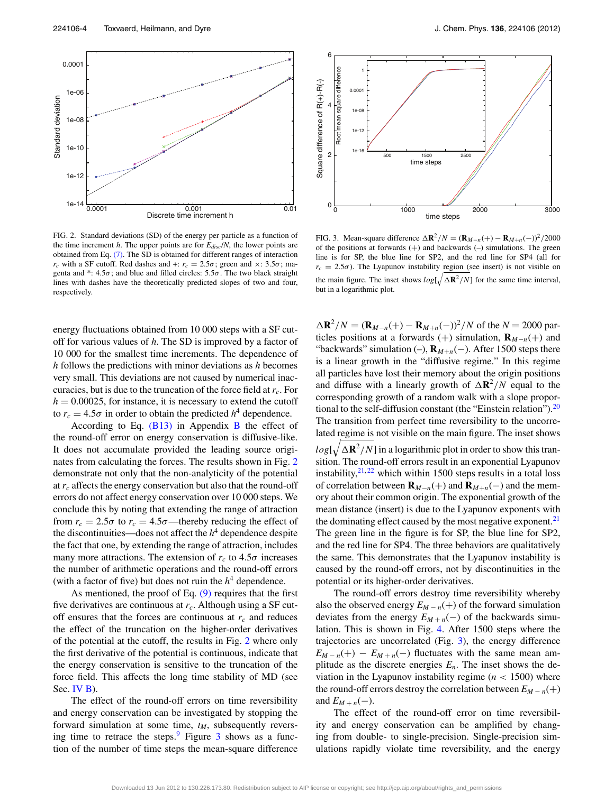<span id="page-3-0"></span>

FIG. 2. Standard deviations (SD) of the energy per particle as a function of the time increment  $h$ . The upper points are for  $E_{disc}/N$ , the lower points are obtained from Eq. [\(7\).](#page-1-3) The SD is obtained for different ranges of interaction *r<sub>c</sub>* with a SF cutoff. Red dashes and +:  $r_c = 2.5\sigma$ ; green and  $\times$ : 3.5 $\sigma$ ; magenta and  $*$ :  $4.5\sigma$ ; and blue and filled circles:  $5.5\sigma$ . The two black straight lines with dashes have the theoretically predicted slopes of two and four, respectively.

energy fluctuations obtained from 10 000 steps with a SF cutoff for various values of *h*. The SD is improved by a factor of 10 000 for the smallest time increments. The dependence of *h* follows the predictions with minor deviations as *h* becomes very small. This deviations are not caused by numerical inaccuracies, but is due to the truncation of the force field at  $r_c$ . For  $h = 0.00025$ , for instance, it is necessary to extend the cutoff to  $r_c = 4.5\sigma$  in order to obtain the predicted  $h^4$  dependence.

According to Eq.  $(B13)$  in Appendix [B](#page-6-0) the effect of the round-off error on energy conservation is diffusive-like. It does not accumulate provided the leading source originates from calculating the forces. The results shown in Fig. [2](#page-3-0) demonstrate not only that the non-analyticity of the potential at *rc* affects the energy conservation but also that the round-off errors do not affect energy conservation over 10 000 steps. We conclude this by noting that extending the range of attraction from  $r_c = 2.5\sigma$  to  $r_c = 4.5\sigma$ —thereby reducing the effect of the discontinuities—does not affect the  $h<sup>4</sup>$  dependence despite the fact that one, by extending the range of attraction, includes many more attractions. The extension of  $r_c$  to 4.5 $\sigma$  increases the number of arithmetic operations and the round-off errors (with a factor of five) but does not ruin the  $h<sup>4</sup>$  dependence.

As mentioned, the proof of Eq. [\(9\)](#page-2-2) requires that the first five derivatives are continuous at *rc*. Although using a SF cutoff ensures that the forces are continuous at  $r_c$  and reduces the effect of the truncation on the higher-order derivatives of the potential at the cutoff, the results in Fig. [2](#page-3-0) where only the first derivative of the potential is continuous, indicate that the energy conservation is sensitive to the truncation of the force field. This affects the long time stability of MD (see Sec. [IV B\)](#page-4-0).

The effect of the round-off errors on time reversibility and energy conservation can be investigated by stopping the forward simulation at some time,  $t_M$ , subsequently reversing time to retrace the steps. Figure  $\frac{3}{3}$  $\frac{3}{3}$  $\frac{3}{3}$  shows as a function of the number of time steps the mean-square difference

<span id="page-3-1"></span>

FIG. 3. Mean-square difference  $\Delta \mathbf{R}^2/N = (\mathbf{R}_{M-n}(+) - \mathbf{R}_{M+n}(-))^2/2000$ of the positions at forwards  $(+)$  and backwards  $(-)$  simulations. The green line is for SP, the blue line for SP2, and the red line for SP4 (all for  $r_c = 2.5\sigma$ ). The Lyapunov instability region (see insert) is not visible on the main figure. The inset shows  $log[\sqrt{\Delta \mathbf{R}^2/N}]$  for the same time interval, but in a logarithmic plot.

 $\Delta \mathbf{R}^2 / N = (\mathbf{R}_{M-n}(+) - \mathbf{R}_{M+n}(-))^2 / N$  of the *N* = 2000 particles positions at a forwards (+) simulation,  $\mathbf{R}_{M-n}(+)$  and "backwards" simulation (–), **R***M*+*<sup>n</sup>*(−). After 1500 steps there is a linear growth in the "diffusive regime." In this regime all particles have lost their memory about the origin positions and diffuse with a linearly growth of  $\Delta \mathbf{R}^2/N$  equal to the corresponding growth of a random walk with a slope proportional to the self-diffusion constant (the "Einstein relation"). $^{20}$  $^{20}$  $^{20}$ The transition from perfect time reversibility to the uncorrelated regime is not visible on the main figure. The inset shows  $log[\sqrt{\Delta \mathbf{R}^2/N}]$  in a logarithmic plot in order to show this transition. The round-off errors result in an exponential Lyapunov instability, $2^{1,22}$  $2^{1,22}$  $2^{1,22}$  which within 1500 steps results in a total loss of correlation between  $\mathbf{R}_{M-n}(+)$  and  $\mathbf{R}_{M+n}(-)$  and the memory about their common origin. The exponential growth of the mean distance (insert) is due to the Lyapunov exponents with the dominating effect caused by the most negative exponent.<sup>21</sup> The green line in the figure is for SP, the blue line for SP2,

and the red line for SP4. The three behaviors are qualitatively the same. This demonstrates that the Lyapunov instability is caused by the round-off errors, not by discontinuities in the potential or its higher-order derivatives.

The round-off errors destroy time reversibility whereby also the observed energy  $E_{M-n}(+)$  of the forward simulation deviates from the energy  $E_{M+n}(-)$  of the backwards simulation. This is shown in Fig. [4.](#page-4-1) After 1500 steps where the trajectories are uncorrelated (Fig. [3\)](#page-3-1), the energy difference  $E_{M-n}(+) - E_{M+n}(-)$  fluctuates with the same mean amplitude as the discrete energies  $E_n$ . The inset shows the deviation in the Lyapunov instability regime  $(n < 1500)$  where the round-off errors destroy the correlation between  $E_{M-n}(+)$ and  $E_{M+n}(-)$ .

The effect of the round-off error on time reversibility and energy conservation can be amplified by changing from double- to single-precision. Single-precision simulations rapidly violate time reversibility, and the energy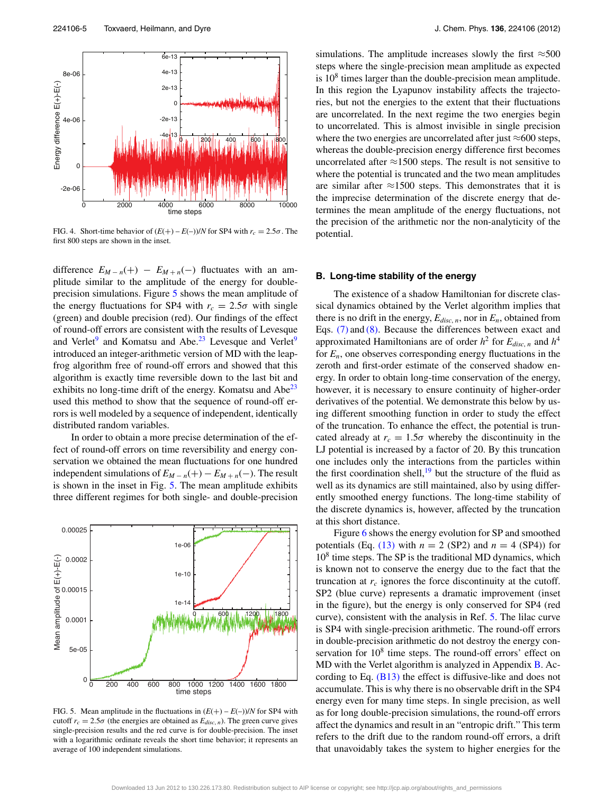<span id="page-4-1"></span>

FIG. 4. Short-time behavior of  $(E(+) - E(-))/N$  for SP4 with  $r_c = 2.5\sigma$ . The first 800 steps are shown in the inset.

difference  $E_{M-n}(+) - E_{M+n}(-)$  fluctuates with an amplitude similar to the amplitude of the energy for doubleprecision simulations. Figure [5](#page-4-2) shows the mean amplitude of the energy fluctuations for SP4 with  $r_c = 2.5\sigma$  with single (green) and double precision (red). Our findings of the effect of round-off errors are consistent with the results of Levesque and Verlet<sup>[9](#page-7-7)</sup> and Komatsu and Abe.<sup>[23](#page-7-22)</sup> Levesque and Verlet<sup>9</sup> introduced an integer-arithmetic version of MD with the leapfrog algorithm free of round-off errors and showed that this algorithm is exactly time reversible down to the last bit and exhibits no long-time drift of the energy. Komatsu and  $Abe^{23}$ used this method to show that the sequence of round-off errors is well modeled by a sequence of independent, identically distributed random variables.

In order to obtain a more precise determination of the effect of round-off errors on time reversibility and energy conservation we obtained the mean fluctuations for one hundred independent simulations of  $E_{M-n}(+) - E_{M+n}(-)$ . The result is shown in the inset in Fig. [5.](#page-4-2) The mean amplitude exhibits three different regimes for both single- and double-precision

<span id="page-4-2"></span>

FIG. 5. Mean amplitude in the fluctuations in  $(E(+) - E(-))/N$  for SP4 with cutoff  $r_c = 2.5\sigma$  (the energies are obtained as  $E_{disc,n}$ ). The green curve gives single-precision results and the red curve is for double-precision. The inset with a logarithmic ordinate reveals the short time behavior; it represents an average of 100 independent simulations.

simulations. The amplitude increases slowly the first  $\approx$ 500 steps where the single-precision mean amplitude as expected is  $10<sup>8</sup>$  times larger than the double-precision mean amplitude. In this region the Lyapunov instability affects the trajectories, but not the energies to the extent that their fluctuations are uncorrelated. In the next regime the two energies begin to uncorrelated. This is almost invisible in single precision where the two energies are uncorrelated after just  $\approx$  600 steps, whereas the double-precision energy difference first becomes uncorrelated after  $\approx$ 1500 steps. The result is not sensitive to where the potential is truncated and the two mean amplitudes are similar after  $\approx$ 1500 steps. This demonstrates that it is the imprecise determination of the discrete energy that determines the mean amplitude of the energy fluctuations, not the precision of the arithmetic nor the non-analyticity of the potential.

#### <span id="page-4-0"></span>**B. Long-time stability of the energy**

The existence of a shadow Hamiltonian for discrete classical dynamics obtained by the Verlet algorithm implies that there is no drift in the energy,  $E_{disc, n}$ , nor in  $E_n$ , obtained from Eqs. [\(7\)](#page-1-3) and [\(8\).](#page-1-4) Because the differences between exact and approximated Hamiltonians are of order  $h^2$  for  $E_{disc,n}$  and  $h^4$ for  $E_n$ , one observes corresponding energy fluctuations in the zeroth and first-order estimate of the conserved shadow energy. In order to obtain long-time conservation of the energy, however, it is necessary to ensure continuity of higher-order derivatives of the potential. We demonstrate this below by using different smoothing function in order to study the effect of the truncation. To enhance the effect, the potential is truncated already at  $r_c = 1.5\sigma$  whereby the discontinuity in the LJ potential is increased by a factor of 20. By this truncation one includes only the interactions from the particles within the first coordination shell, $19$  but the structure of the fluid as well as its dynamics are still maintained, also by using differently smoothed energy functions. The long-time stability of the discrete dynamics is, however, affected by the truncation at this short distance.

Figure [6](#page-5-2) shows the energy evolution for SP and smoothed potentials (Eq.  $(13)$  with  $n = 2$  (SP2) and  $n = 4$  (SP4)) for  $10<sup>8</sup>$  time steps. The SP is the traditional MD dynamics, which is known not to conserve the energy due to the fact that the truncation at  $r_c$  ignores the force discontinuity at the cutoff. SP2 (blue curve) represents a dramatic improvement (inset in the figure), but the energy is only conserved for SP4 (red curve), consistent with the analysis in Ref. [5.](#page-7-4) The lilac curve is SP4 with single-precision arithmetic. The round-off errors in double-precision arithmetic do not destroy the energy conservation for  $10<sup>8</sup>$  time steps. The round-off errors' effect on MD with the Verlet algorithm is analyzed in Appendix [B.](#page-6-0) According to Eq. [\(B13\)](#page-7-18) the effect is diffusive-like and does not accumulate. This is why there is no observable drift in the SP4 energy even for many time steps. In single precision, as well as for long double-precision simulations, the round-off errors affect the dynamics and result in an "entropic drift." This term refers to the drift due to the random round-off errors, a drift that unavoidably takes the system to higher energies for the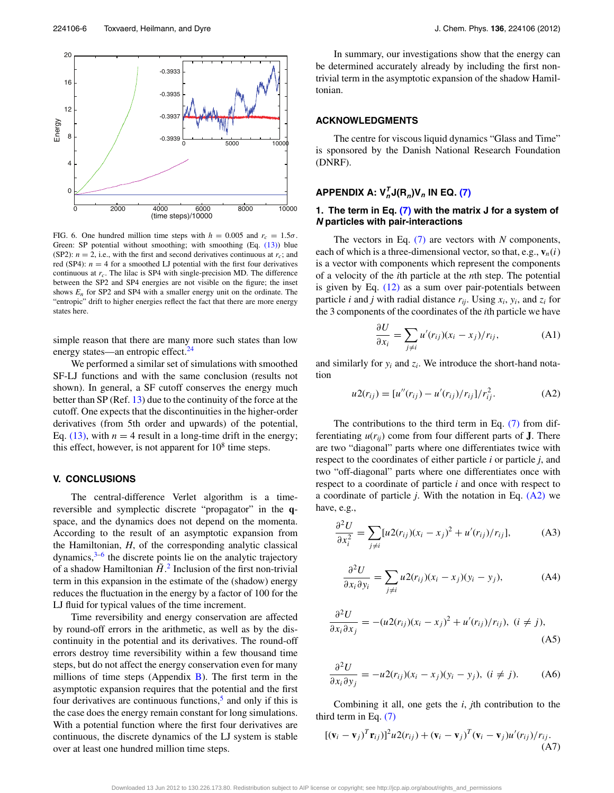<span id="page-5-2"></span>

FIG. 6. One hundred million time steps with  $h = 0.005$  and  $r_c = 1.5\sigma$ . Green: SP potential without smoothing; with smoothing (Eq. [\(13\)\)](#page-2-5) blue (SP2):  $n = 2$ , i.e., with the first and second derivatives continuous at  $r_c$ ; and red (SP4):  $n = 4$  for a smoothed LJ potential with the first four derivatives continuous at  $r_c$ . The lilac is SP4 with single-precision MD. The difference between the SP2 and SP4 energies are not visible on the figure; the inset shows  $E_n$  for SP2 and SP4 with a smaller energy unit on the ordinate. The "entropic" drift to higher energies reflect the fact that there are more energy states here.

simple reason that there are many more such states than low energy states—an entropic effect.<sup>[24](#page-7-24)</sup>

We performed a similar set of simulations with smoothed SF-LJ functions and with the same conclusion (results not shown). In general, a SF cutoff conserves the energy much better than SP (Ref. [13\)](#page-7-11) due to the continuity of the force at the cutoff. One expects that the discontinuities in the higher-order derivatives (from 5th order and upwards) of the potential, Eq.  $(13)$ , with  $n = 4$  result in a long-time drift in the energy; this effect, however, is not apparent for  $10^8$  time steps.

# <span id="page-5-0"></span>**V. CONCLUSIONS**

The central-difference Verlet algorithm is a timereversible and symplectic discrete "propagator" in the **q**space, and the dynamics does not depend on the momenta. According to the result of an asymptotic expansion from the Hamiltonian, *H*, of the corresponding analytic classical dynamics, $3-6$  $3-6$  the discrete points lie on the analytic trajectory of a shadow Hamiltonian  $\tilde{H}$ <sup>[2](#page-7-1)</sup>. Inclusion of the first non-trivial term in this expansion in the estimate of the (shadow) energy reduces the fluctuation in the energy by a factor of 100 for the LJ fluid for typical values of the time increment.

Time reversibility and energy conservation are affected by round-off errors in the arithmetic, as well as by the discontinuity in the potential and its derivatives. The round-off errors destroy time reversibility within a few thousand time steps, but do not affect the energy conservation even for many millions of time steps (Appendix  $B$ ). The first term in the asymptotic expansion requires that the potential and the first four derivatives are continuous functions, $5$  and only if this is the case does the energy remain constant for long simulations. With a potential function where the first four derivatives are continuous, the discrete dynamics of the LJ system is stable over at least one hundred million time steps.

In summary, our investigations show that the energy can be determined accurately already by including the first nontrivial term in the asymptotic expansion of the shadow Hamiltonian.

## **ACKNOWLEDGMENTS**

The centre for viscous liquid dynamics "Glass and Time" is sponsored by the Danish National Research Foundation (DNRF).

# <span id="page-5-1"></span>**APPENDIX A:**  $V_n^T J(R_n) V_n$  IN EQ. [\(7\)](#page-1-3)

## **1. The term in Eq. [\(7\)](#page-1-3) with the matrix J for a system of N particles with pair-interactions**

The vectors in Eq. [\(7\)](#page-1-3) are vectors with *N* components, each of which is a three-dimensional vector, so that, e.g.,  $\mathbf{v}_n(i)$ is a vector with components which represent the components of a velocity of the *i*th particle at the *n*th step. The potential is given by Eq. [\(12\)](#page-2-6) as a sum over pair-potentials between particle *i* and *j* with radial distance  $r_{ii}$ . Using  $x_i$ ,  $y_i$ , and  $z_i$  for the 3 components of the coordinates of the *i*th particle we have

$$
\frac{\partial U}{\partial x_i} = \sum_{j \neq i} u'(r_{ij})(x_i - x_j)/r_{ij}, \tag{A1}
$$

and similarly for  $y_i$  and  $z_i$ . We introduce the short-hand notation

<span id="page-5-3"></span>
$$
u2(r_{ij}) = [u''(r_{ij}) - u'(r_{ij})/r_{ij}]/r_{ij}^2.
$$
 (A2)

The contributions to the third term in Eq. [\(7\)](#page-1-3) from differentiating  $u(r_{ii})$  come from four different parts of **J**. There are two "diagonal" parts where one differentiates twice with respect to the coordinates of either particle *i* or particle *j*, and two "off-diagonal" parts where one differentiates once with respect to a coordinate of particle *i* and once with respect to a coordinate of particle *j*. With the notation in Eq. [\(A2\)](#page-5-3) we have, e.g.,

$$
\frac{\partial^2 U}{\partial x_i^2} = \sum_{j \neq i} [u 2(r_{ij})(x_i - x_j)^2 + u'(r_{ij})/r_{ij}], \tag{A3}
$$

$$
\frac{\partial^2 U}{\partial x_i \partial y_i} = \sum_{j \neq i} u_2(r_{ij})(x_i - x_j)(y_i - y_j), \tag{A4}
$$

$$
\frac{\partial^2 U}{\partial x_i \partial x_j} = -(u_2(r_{ij})(x_i - x_j)^2 + u'(r_{ij})/r_{ij}), \ (i \neq j),
$$
\n(A5)

$$
\frac{\partial^2 U}{\partial x_i \partial y_j} = -u_2(r_{ij})(x_i - x_j)(y_i - y_j), \ (i \neq j).
$$
 (A6)

Combining it all, one gets the *i*, *j*th contribution to the third term in Eq. [\(7\)](#page-1-3)

$$
[(\mathbf{v}_i - \mathbf{v}_j)^T \mathbf{r}_{ij})]^2 u 2(r_{ij}) + (\mathbf{v}_i - \mathbf{v}_j)^T (\mathbf{v}_i - \mathbf{v}_j) u'(r_{ij})/r_{ij}.
$$
\n(A7)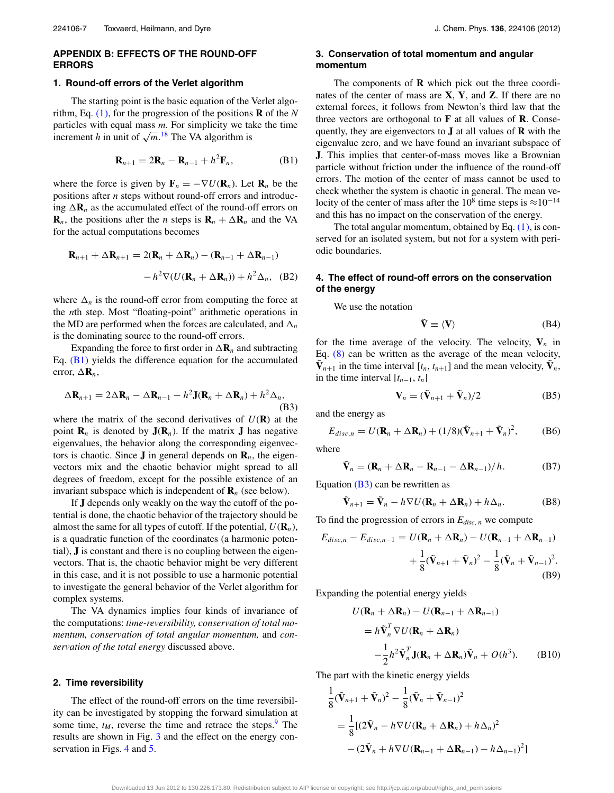#### <span id="page-6-0"></span>**APPENDIX B: EFFECTS OF THE ROUND-OFF ERRORS**

#### **1. Round-off errors of the Verlet algorithm**

The starting point is the basic equation of the Verlet algorithm, Eq. [\(1\),](#page-1-5) for the progression of the positions **R** of the *N* particles with equal mass *m*. For simplicity we take the time increment *h* in unit of  $\sqrt{m}$ .<sup>[18](#page-7-17)</sup> The VA algorithm is

<span id="page-6-1"></span>
$$
\mathbf{R}_{n+1} = 2\mathbf{R}_n - \mathbf{R}_{n-1} + h^2 \mathbf{F}_n, \tag{B1}
$$

where the force is given by  $\mathbf{F}_n = -\nabla U(\mathbf{R}_n)$ . Let  $\mathbf{R}_n$  be the positions after *n* steps without round-off errors and introducing  $\Delta \mathbf{R}_n$  as the accumulated effect of the round-off errors on **R**<sub>*n*</sub>, the positions after the *n* steps is  $\mathbf{R}_n + \Delta \mathbf{R}_n$  and the VA for the actual computations becomes

$$
\mathbf{R}_{n+1} + \Delta \mathbf{R}_{n+1} = 2(\mathbf{R}_n + \Delta \mathbf{R}_n) - (\mathbf{R}_{n-1} + \Delta \mathbf{R}_{n-1})
$$

$$
-h^2 \nabla (U(\mathbf{R}_n + \Delta \mathbf{R}_n)) + h^2 \Delta_n, \quad (B2)
$$

where  $\Delta_n$  is the round-off error from computing the force at the *n*th step. Most "floating-point" arithmetic operations in the MD are performed when the forces are calculated, and  $\Delta_n$ is the dominating source to the round-off errors.

Expanding the force to first order in  $\Delta \mathbf{R}_n$  and subtracting Eq. [\(B1\)](#page-6-1) yields the difference equation for the accumulated error,  $\Delta \mathbf{R}_n$ ,

<span id="page-6-2"></span>
$$
\Delta \mathbf{R}_{n+1} = 2\Delta \mathbf{R}_n - \Delta \mathbf{R}_{n-1} - h^2 \mathbf{J}(\mathbf{R}_n + \Delta \mathbf{R}_n) + h^2 \Delta_n,
$$
\n(B3)

where the matrix of the second derivatives of  $U(\mathbf{R})$  at the point  $\mathbf{R}_n$  is denoted by  $\mathbf{J}(\mathbf{R}_n)$ . If the matrix **J** has negative eigenvalues, the behavior along the corresponding eigenvectors is chaotic. Since **J** in general depends on  $\mathbf{R}_n$ , the eigenvectors mix and the chaotic behavior might spread to all degrees of freedom, except for the possible existence of an invariant subspace which is independent of  $\mathbf{R}_n$  (see below).

If **J** depends only weakly on the way the cutoff of the potential is done, the chaotic behavior of the trajectory should be almost the same for all types of cutoff. If the potential,  $U(\mathbf{R}_n)$ , is a quadratic function of the coordinates (a harmonic potential), **J** is constant and there is no coupling between the eigenvectors. That is, the chaotic behavior might be very different in this case, and it is not possible to use a harmonic potential to investigate the general behavior of the Verlet algorithm for complex systems.

The VA dynamics implies four kinds of invariance of the computations: *time-reversibility, conservation of total momentum, conservation of total angular momentum,* and *conservation of the total energy* discussed above.

#### **2. Time reversibility**

The effect of the round-off errors on the time reversibility can be investigated by stopping the forward simulation at some time,  $t_M$ , reverse the time and retrace the steps.<sup>[9](#page-7-7)</sup> The results are shown in Fig. [3](#page-3-1) and the effect on the energy con-servation in Figs. [4](#page-4-1) and [5.](#page-4-2)

### **3. Conservation of total momentum and angular momentum**

The components of **R** which pick out the three coordinates of the center of mass are **X**, **Y**, and **Z**. If there are no external forces, it follows from Newton's third law that the three vectors are orthogonal to **F** at all values of **R**. Consequently, they are eigenvectors to **J** at all values of **R** with the eigenvalue zero, and we have found an invariant subspace of **J**. This implies that center-of-mass moves like a Brownian particle without friction under the influence of the round-off errors. The motion of the center of mass cannot be used to check whether the system is chaotic in general. The mean velocity of the center of mass after the 10<sup>8</sup> time steps is  $\approx$ 10<sup>-14</sup> and this has no impact on the conservation of the energy.

The total angular momentum, obtained by Eq. [\(1\),](#page-1-5) is conserved for an isolated system, but not for a system with periodic boundaries.

## **4. The effect of round-off errors on the conservation of the energy**

We use the notation

$$
\tilde{\mathbf{V}} \equiv \langle \mathbf{V} \rangle \tag{B4}
$$

for the time average of the velocity. The velocity,  $V_n$  in Eq. [\(8\)](#page-1-4) can be written as the average of the mean velocity,  $V_{n+1}$  in the time interval [ $t_n$ ,  $t_{n+1}$ ] and the mean velocity,  $V_n$ , in the time interval  $[t_{n-1}, t_n]$ 

$$
\mathbf{V}_n = (\tilde{\mathbf{V}}_{n+1} + \tilde{\mathbf{V}}_n)/2
$$
 (B5)

and the energy as

$$
E_{disc,n} = U(\mathbf{R}_n + \Delta \mathbf{R}_n) + (1/8)(\tilde{\mathbf{V}}_{n+1} + \tilde{\mathbf{V}}_n)^2, \tag{B6}
$$

where

$$
\tilde{\mathbf{V}}_n = (\mathbf{R}_n + \Delta \mathbf{R}_n - \mathbf{R}_{n-1} - \Delta \mathbf{R}_{n-1})/h. \tag{B7}
$$

Equation  $(B3)$  can be rewritten as

$$
\tilde{\mathbf{V}}_{n+1} = \tilde{\mathbf{V}}_n - h \nabla U(\mathbf{R}_n + \Delta \mathbf{R}_n) + h \Delta_n.
$$
 (B8)

To find the progression of errors in  $E_{disc,n}$  we compute

$$
E_{disc,n} - E_{disc,n-1} = U(\mathbf{R}_n + \Delta \mathbf{R}_n) - U(\mathbf{R}_{n-1} + \Delta \mathbf{R}_{n-1})
$$
  
+ 
$$
\frac{1}{8}(\tilde{\mathbf{V}}_{n+1} + \tilde{\mathbf{V}}_n)^2 - \frac{1}{8}(\tilde{\mathbf{V}}_n + \tilde{\mathbf{V}}_{n-1})^2.
$$
  
(B9)

Expanding the potential energy yields

<span id="page-6-4"></span><span id="page-6-3"></span>
$$
U(\mathbf{R}_n + \Delta \mathbf{R}_n) - U(\mathbf{R}_{n-1} + \Delta \mathbf{R}_{n-1})
$$
  
=  $h\tilde{\mathbf{V}}_n^T \nabla U(\mathbf{R}_n + \Delta \mathbf{R}_n)$   

$$
-\frac{1}{2}h^2 \tilde{\mathbf{V}}_n^T \mathbf{J}(\mathbf{R}_n + \Delta \mathbf{R}_n) \tilde{\mathbf{V}}_n + O(h^3).
$$
 (B10)

The part with the kinetic energy yields

$$
\frac{1}{8}(\tilde{\mathbf{V}}_{n+1} + \tilde{\mathbf{V}}_n)^2 - \frac{1}{8}(\tilde{\mathbf{V}}_n + \tilde{\mathbf{V}}_{n-1})^2
$$
\n
$$
= \frac{1}{8}[(2\tilde{\mathbf{V}}_n - h\nabla U(\mathbf{R}_n + \Delta \mathbf{R}_n) + h\Delta_n)^2
$$
\n
$$
-(2\tilde{\mathbf{V}}_n + h\nabla U(\mathbf{R}_{n-1} + \Delta \mathbf{R}_{n-1}) - h\Delta_{n-1})^2]
$$